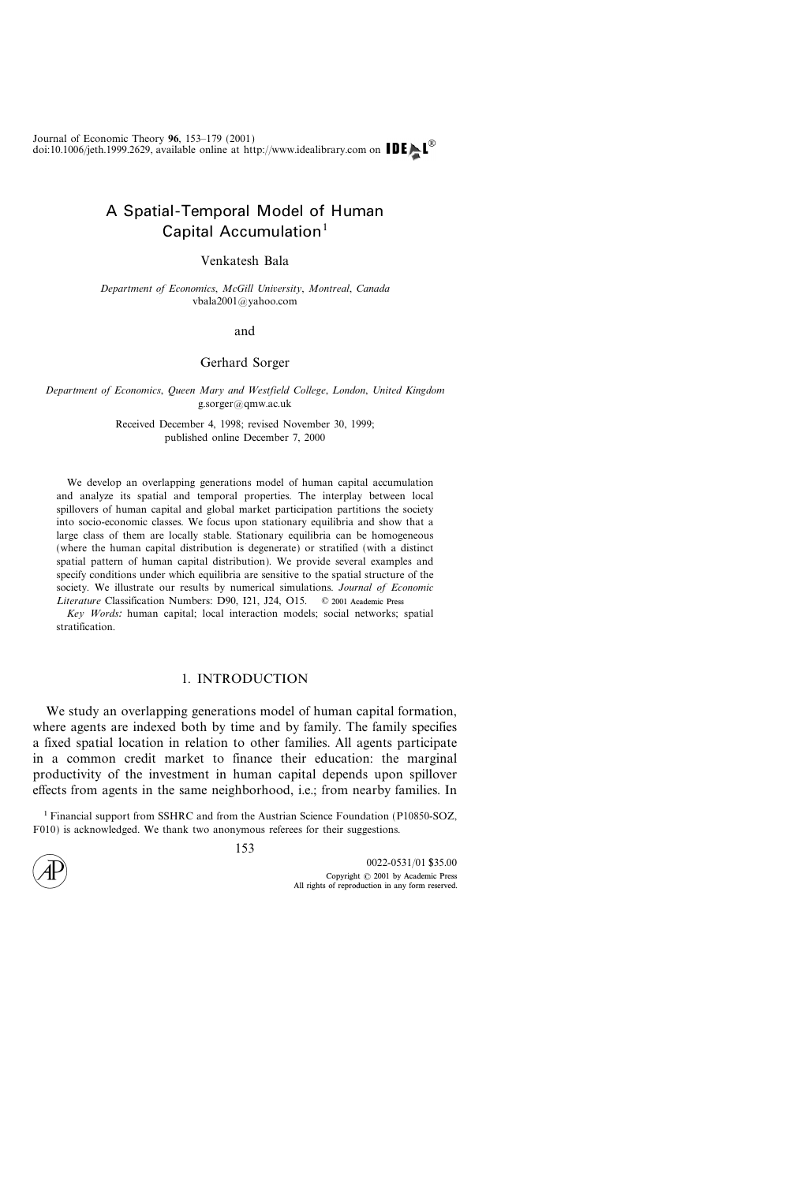# A Spatial-Temporal Model of Human Capital Accumulation $1$

### Venkatesh Bala

Department of Economics, McGill University, Montreal, Canada vbala2001@yahoo.com

and

## Gerhard Sorger

Department of Economics, Queen Mary and Westfield College, London, United Kingdom g.sorger@qmw.ac.uk

> Received December 4, 1998; revised November 30, 1999; published online December 7, 2000

We develop an overlapping generations model of human capital accumulation and analyze its spatial and temporal properties. The interplay between local spillovers of human capital and global market participation partitions the society into socio-economic classes. We focus upon stationary equilibria and show that a large class of them are locally stable. Stationary equilibria can be homogeneous (where the human capital distribution is degenerate) or stratified (with a distinct spatial pattern of human capital distribution). We provide several examples and specify conditions under which equilibria are sensitive to the spatial structure of the society. We illustrate our results by numerical simulations. Journal of Economic Literature Classification Numbers: D90, I21, J24, O15. © 2001 Academic Press

Key Words: human capital; local interaction models; social networks; spatial stratification.

### 1. INTRODUCTION

We study an overlapping generations model of human capital formation, where agents are indexed both by time and by family. The family specifies a fixed spatial location in relation to other families. All agents participate in a common credit market to finance their education: the marginal productivity of the investment in human capital depends upon spillover effects from agents in the same neighborhood, i.e.; from nearby families. In

<sup>1</sup> Financial support from SSHRC and from the Austrian Science Foundation (P10850-SOZ, F010) is acknowledged. We thank two anonymous referees for their suggestions.

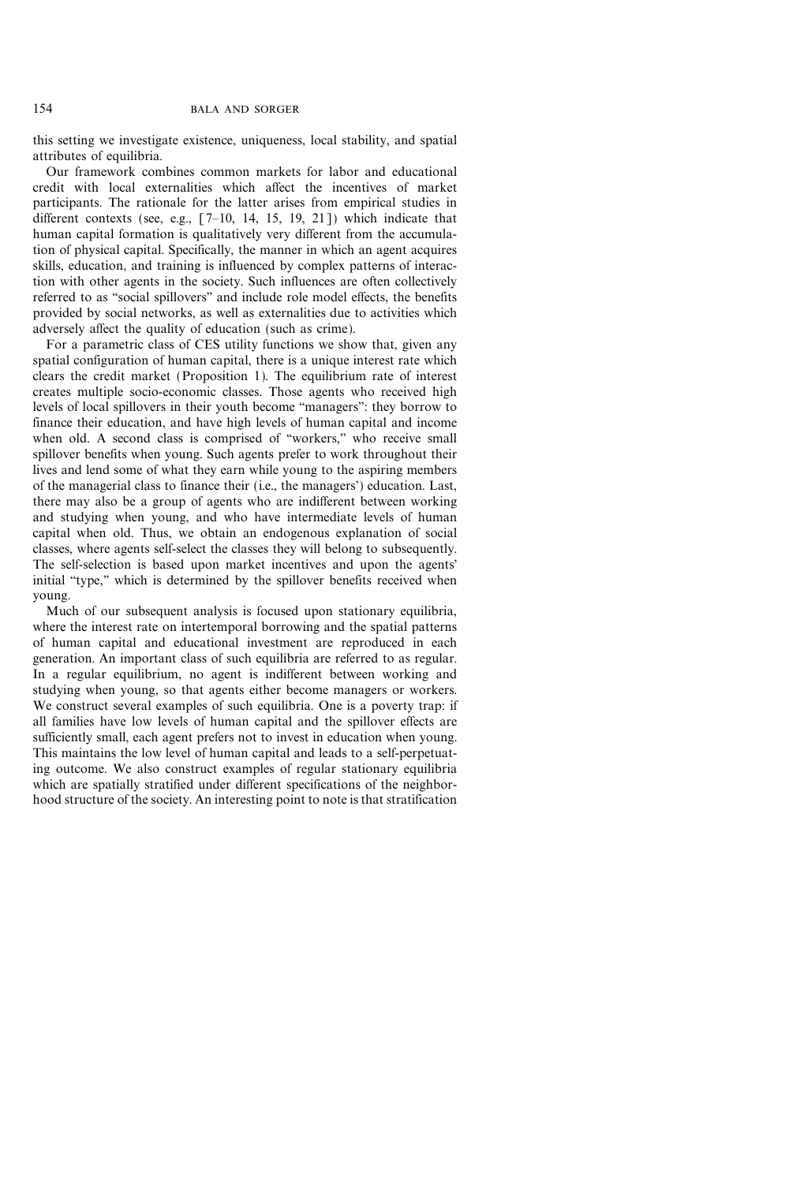this setting we investigate existence, uniqueness, local stability, and spatial attributes of equilibria.

Our framework combines common markets for labor and educational credit with local externalities which affect the incentives of market participants. The rationale for the latter arises from empirical studies in different contexts (see, e.g.,  $[7-10, 14, 15, 19, 21]$ ) which indicate that human capital formation is qualitatively very different from the accumulation of physical capital. Specifically, the manner in which an agent acquires skills, education, and training is influenced by complex patterns of interaction with other agents in the society. Such influences are often collectively referred to as "social spillovers" and include role model effects, the benefits provided by social networks, as well as externalities due to activities which adversely affect the quality of education (such as crime).

For a parametric class of CES utility functions we show that, given any spatial configuration of human capital, there is a unique interest rate which clears the credit market (Proposition 1). The equilibrium rate of interest creates multiple socio-economic classes. Those agents who received high levels of local spillovers in their youth become "managers": they borrow to finance their education, and have high levels of human capital and income when old. A second class is comprised of "workers," who receive small spillover benefits when young. Such agents prefer to work throughout their lives and lend some of what they earn while young to the aspiring members of the managerial class to finance their (i.e., the managers') education. Last, there may also be a group of agents who are indifferent between working and studying when young, and who have intermediate levels of human capital when old. Thus, we obtain an endogenous explanation of social classes, where agents self-select the classes they will belong to subsequently. The self-selection is based upon market incentives and upon the agents' initial "type," which is determined by the spillover benefits received when young.

Much of our subsequent analysis is focused upon stationary equilibria, where the interest rate on intertemporal borrowing and the spatial patterns of human capital and educational investment are reproduced in each generation. An important class of such equilibria are referred to as regular. In a regular equilibrium, no agent is indifferent between working and studying when young, so that agents either become managers or workers. We construct several examples of such equilibria. One is a poverty trap: if all families have low levels of human capital and the spillover effects are sufficiently small, each agent prefers not to invest in education when young. This maintains the low level of human capital and leads to a self-perpetuating outcome. We also construct examples of regular stationary equilibria which are spatially stratified under different specifications of the neighborhood structure of the society. An interesting point to note is that stratification